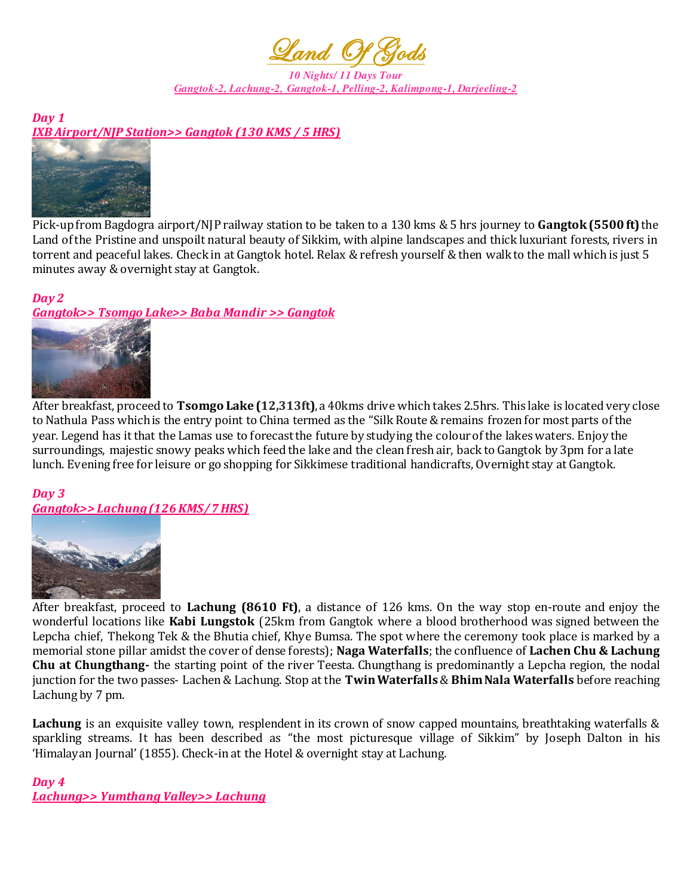

*10 Nights/ 11 Days Tour Gangtok-2, Lachung-2, Gangtok-1, Pelling-2, Kalimpong-1, Darjeeling-2*

*Day 1 IXB Airport/NJP Station>> Gangtok (130 KMS / 5 HRS)* 



Pick-up from Bagdogra airport/NJP railway station to be taken to a 130 kms & 5 hrs journey to **Gangtok (5500 ft)** the Land of the Pristine and unspoilt natural beauty of Sikkim, with alpine landscapes and thick luxuriant forests, rivers in torrent and peaceful lakes. Check in at Gangtok hotel. Relax & refresh yourself & then walk to the mall which is just 5 minutes away & overnight stay at Gangtok.

#### *Day 2 Gangtok>> Tsomgo Lake>> Baba Mandir >> Gangtok*



After breakfast, proceed to **Tsomgo Lake (12,313ft)**, a 40kms drive which takes 2.5hrs. This lake is located very close to Nathula Pass which is the entry point to China termed as the "Silk Route & remains frozen for most parts of the year. Legend has it that the Lamas use to forecast the future by studying the colour of the lakes waters. Enjoy the surroundings, majestic snowy peaks which feed the lake and the clean fresh air, back to Gangtok by 3pm for a late lunch. Evening free for leisure or go shopping for Sikkimese traditional handicrafts, Overnight stay at Gangtok.

# *Day 3*

*Gangtok>> Lachung (126 KMS/ 7 HRS)*



After breakfast, proceed to **Lachung (8610 Ft)**, a distance of 126 kms. On the way stop en-route and enjoy the wonderful locations like **Kabi Lungstok** (25km from Gangtok where a blood brotherhood was signed between the Lepcha chief, Thekong Tek & the Bhutia chief, Khye Bumsa. The spot where the ceremony took place is marked by a memorial stone pillar amidst the cover of dense forests); **Naga Waterfalls**; the confluence of **Lachen Chu & Lachung Chu at Chungthang-** the starting point of the river Teesta. Chungthang is predominantly a Lepcha region, the nodal junction for the two passes- Lachen & Lachung. Stop at the **Twin Waterfalls**& **Bhim Nala Waterfalls** before reaching Lachung by 7 pm.

**Lachung** is an exquisite valley town, resplendent in its crown of snow capped mountains, breathtaking waterfalls & sparkling streams. It has been described as "the most picturesque village of Sikkim" by Joseph Dalton in his 'Himalayan Journal' (1855). Check-in at the Hotel & overnight stay at Lachung.

*Day 4 Lachung>> Yumthang Valley>> Lachung*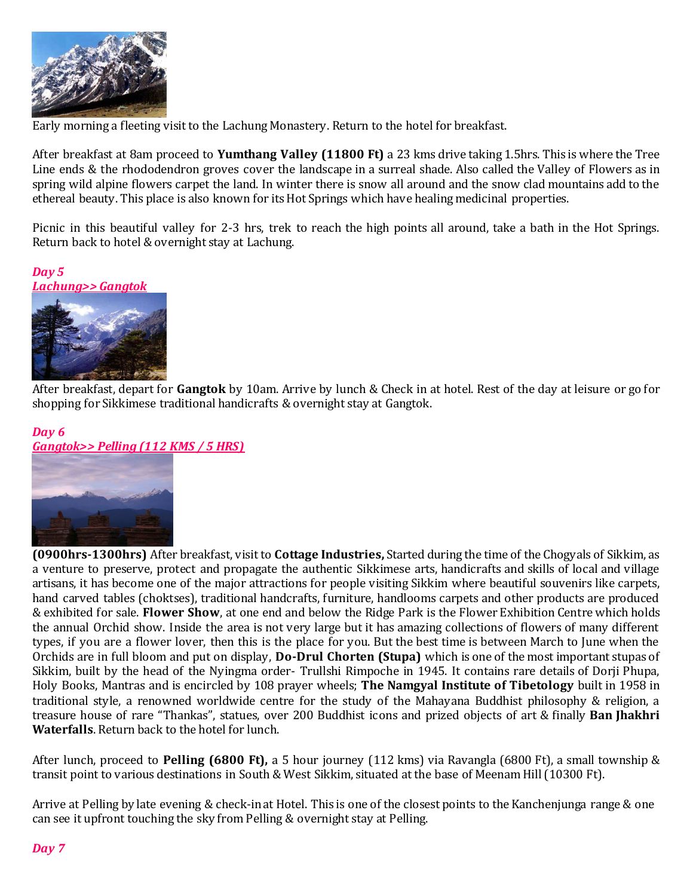

Early morning a fleeting visit to the Lachung Monastery. Return to the hotel for breakfast.

After breakfast at 8am proceed to **Yumthang Valley (11800 Ft)** a 23 kms drive taking 1.5hrs. This is where the Tree Line ends & the rhododendron groves cover the landscape in a surreal shade. Also called the Valley of Flowers as in spring wild alpine flowers carpet the land. In winter there is snow all around and the snow clad mountains add to the ethereal beauty. This place is also known for its Hot Springs which have healing medicinal properties.

Picnic in this beautiful valley for 2-3 hrs, trek to reach the high points all around, take a bath in the Hot Springs. Return back to hotel & overnight stay at Lachung.

*Day 5 Lachung>> Gangtok* 



After breakfast, depart for **Gangtok** by 10am. Arrive by lunch & Check in at hotel. Rest of the day at leisure or go for shopping for Sikkimese traditional handicrafts & overnight stay at Gangtok.

## *Day 6 Gangtok>> Pelling (112 KMS / 5 HRS)*



**(0900hrs-1300hrs)** After breakfast, visit to **Cottage Industries,** Started during the time of the Chogyals of Sikkim, as a venture to preserve, protect and propagate the authentic Sikkimese arts, handicrafts and skills of local and village artisans, it has become one of the major attractions for people visiting Sikkim where beautiful souvenirs like carpets, hand carved tables (choktses), traditional handcrafts, furniture, handlooms carpets and other products are produced & exhibited for sale. **Flower Show**, at one end and below the Ridge Park is the Flower Exhibition Centre which holds the annual Orchid show. Inside the area is not very large but it has amazing collections of flowers of many different types, if you are a flower lover, then this is the place for you. But the best time is between March to June when the Orchids are in full bloom and put on display, **Do-Drul Chorten (Stupa)** which is one of the most important stupas of Sikkim, built by the head of the Nyingma order- Trullshi Rimpoche in 1945. It contains rare details of Dorji Phupa, Holy Books, Mantras and is encircled by 108 prayer wheels; **The Namgyal Institute of Tibetology** built in 1958 in traditional style, a renowned worldwide centre for the study of the Mahayana Buddhist philosophy & religion, a treasure house of rare "Thankas", statues, over 200 Buddhist icons and prized objects of art & finally **Ban Jhakhri Waterfalls**. Return back to the hotel for lunch.

After lunch, proceed to **Pelling (6800 Ft),** a 5 hour journey (112 kms) via Ravangla (6800 Ft), a small township & transit point to various destinations in South & West Sikkim, situated at the base of Meenam Hill (10300 Ft).

Arrive at Pelling by late evening & check-in at Hotel. This is one of the closest points to the Kanchenjunga range & one can see it upfront touching the sky from Pelling & overnight stay at Pelling.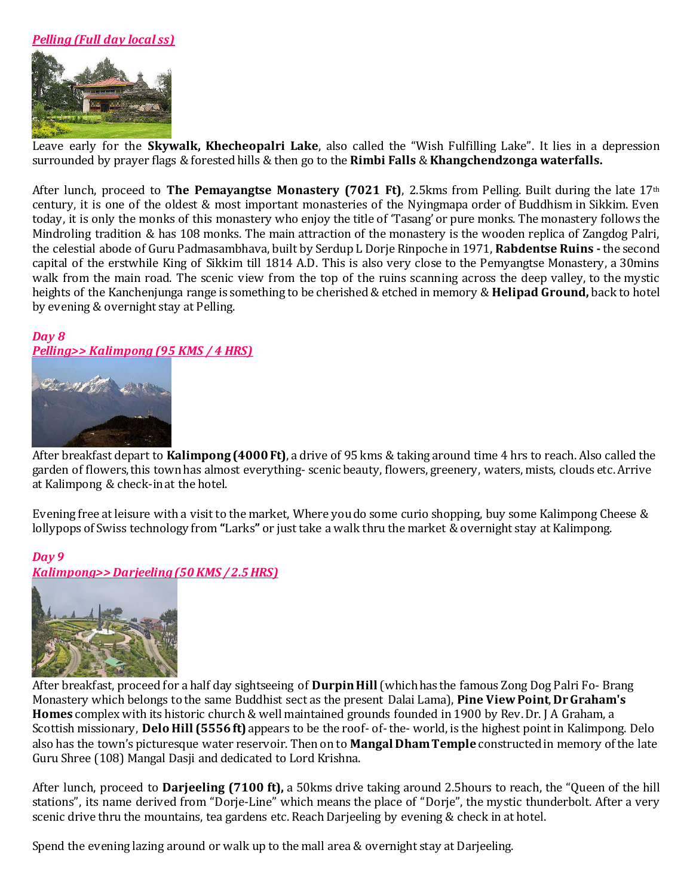## *Pelling (Full day local ss)*



Leave early for the **Skywalk, Khecheopalri Lake**, also called the "Wish Fulfilling Lake". It lies in a depression surrounded by prayer flags & forested hills & then go to the **Rimbi Falls** & **Khangchendzonga waterfalls.**

After lunch, proceed to **The Pemayangtse Monastery (7021 Ft)**, 2.5kms from Pelling. Built during the late 17th century, it is one of the oldest & most important monasteries of the Nyingmapa order of Buddhism in Sikkim. Even today, it is only the monks of this monastery who enjoy the title of 'Tasang' or pure monks. The monastery follows the Mindroling tradition & has 108 monks. The main attraction of the monastery is the wooden replica of Zangdog Palri, the celestial abode of Guru Padmasambhava, built by Serdup L Dorje Rinpoche in 1971, **Rabdentse Ruins -** the second capital of the erstwhile King of Sikkim till 1814 A.D. This is also very close to the Pemyangtse Monastery, a 30mins walk from the main road. The scenic view from the top of the ruins scanning across the deep valley, to the mystic heights of the Kanchenjunga range is something to be cherished & etched in memory & **Helipad Ground,** back to hotel by evening & overnight stay at Pelling.

# *Day 8 Pelling>> Kalimpong (95 KMS / 4 HRS)*



After breakfast depart to **Kalimpong (4000 Ft)**, a drive of 95 kms & taking around time 4 hrs to reach. Also called the garden of flowers, this town has almost everything- scenic beauty, flowers, greenery, waters, mists, clouds etc. Arrive at Kalimpong & check-in at the hotel.

Evening free at leisure with a visit to the market, Where you do some curio shopping, buy some Kalimpong Cheese & lollypops of Swiss technology from **"**Larks**"** or just take a walk thru the market & overnight stay at Kalimpong.

## *Day 9*

*Kalimpong>> Darjeeling (50 KMS / 2.5 HRS)* 



After breakfast, proceed for a half day sightseeing of **Durpin Hill** (which has the famous Zong Dog Palri Fo- Brang Monastery which belongs to the same Buddhist sect as the present Dalai Lama), **Pine View Point**, **Dr Graham's Homes** complex with its historic church & well maintained grounds founded in 1900 by Rev. Dr. J A Graham, a Scottish missionary, **Delo Hill (5556 ft)** appears to be the roof- of- the- world, is the highest point in Kalimpong. Delo also has the town's picturesque water reservoir. Then on to **Mangal Dham Temple** constructed in memory of the late Guru Shree (108) Mangal Dasji and dedicated to Lord Krishna.

After lunch, proceed to **Darjeeling (7100 ft),** a 50kms drive taking around 2.5hours to reach, the "Queen of the hill stations", its name derived from "Dorje-Line" which means the place of "Dorje", the mystic thunderbolt. After a very scenic drive thru the mountains, tea gardens etc. Reach Darjeeling by evening & check in at hotel.

Spend the evening lazing around or walk up to the mall area & overnight stay at Darjeeling.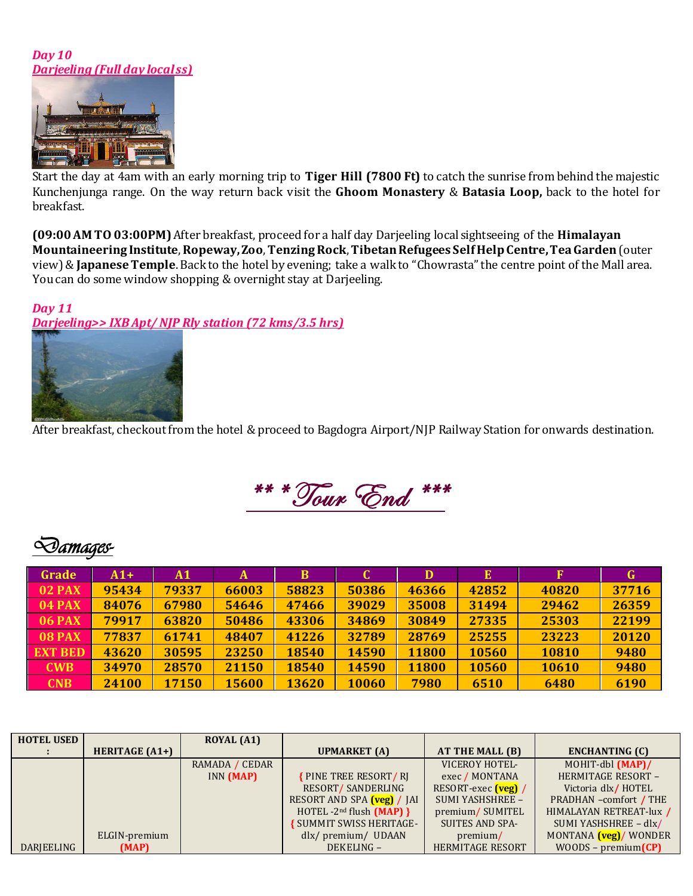#### *Day 10 <u>Darjeeling (Full day localss)</u>*



Start the day at 4am with an early morning trip to **Tiger Hill (7800 Ft)** to catch the sunrise from behind the majestic Kunchenjunga range. On the way return back visit the **Ghoom Monastery** & **Batasia Loop,** back to the hotel for breakfast.

**(09:00 AM TO 03:00PM)** After breakfast, proceed for a half day Darjeeling local sightseeing of the **Himalayan Mountaineering Institute**, **Ropeway,Zoo**, **Tenzing Rock**, **Tibetan Refugees Self Help Centre, Tea Garden** (outer view)& **Japanese Temple**. Back to the hotel by evening; take a walk to "Chowrasta" the centre point of the Mall area. You can do some window shopping & overnight stay at Darjeeling.

#### *Day 11 Darjeeling>> IXB Apt/ NJP Rly station (72 kms/3.5 hrs)*



After breakfast, checkout from the hotel & proceed to Bagdogra Airport/NJP Railway Station for onwards destination.

\*\* \* Tour End \*\*\*

# *Damages-*

| Grade          | $A1+$ | A1    | A     | B     |       | D     | Е     | F     | G     |
|----------------|-------|-------|-------|-------|-------|-------|-------|-------|-------|
| <b>02 PAX</b>  | 95434 | 79337 | 66003 | 58823 | 50386 | 46366 | 42852 | 40820 | 37716 |
| <b>04 PAX</b>  | 84076 | 67980 | 54646 | 47466 | 39029 | 35008 | 31494 | 29462 | 26359 |
| <b>06 PAX</b>  | 79917 | 63820 | 50486 | 43306 | 34869 | 30849 | 27335 | 25303 | 22199 |
| <b>08 PAX</b>  | 77837 | 61741 | 48407 | 41226 | 32789 | 28769 | 25255 | 23223 | 20120 |
| <b>EXT BED</b> | 43620 | 30595 | 23250 | 18540 | 14590 | 11800 | 10560 | 10810 | 9480  |
| <b>CWB</b>     | 34970 | 28570 | 21150 | 18540 | 14590 | 11800 | 10560 | 10610 | 9480  |
| <b>CNB</b>     | 24100 | 17150 | 15600 | 13620 | 10060 | 7980  | 6510  | 6480  | 6190  |

| <b>HOTEL USED</b> |                       | <b>ROYAL (A1)</b> |                               |                         |                               |
|-------------------|-----------------------|-------------------|-------------------------------|-------------------------|-------------------------------|
|                   | <b>HERITAGE (A1+)</b> |                   | <b>UPMARKET</b> (A)           | AT THE MALL (B)         | <b>ENCHANTING (C)</b>         |
|                   |                       | RAMADA / CEDAR    |                               | VICEROY HOTEL-          | MOHIT-dbl (MAP)/              |
|                   |                       | INN (MAP)         | <b>{PINE TREE RESORT/RI</b>   | exec / MONTANA          | HERMITAGE RESORT -            |
|                   |                       |                   | RESORT/SANDERLING             | RESORT-exec (veg) /     | Victoria dlx/HOTEL            |
|                   |                       |                   | RESORT AND SPA (veg) / JAI    | <b>SUMI YASHSHREE -</b> | PRADHAN -comfort / THE        |
|                   |                       |                   | HOTEL $-2^{nd}$ flush (MAP) } | premium/SUMITEL         | HIMALAYAN RETREAT-lux /       |
|                   |                       |                   | SUMMIT SWISS HERITAGE-        | SUITES AND SPA-         | SUMI YASHSHREE - dlx/         |
|                   | ELGIN-premium         |                   | dlx/premium/UDAAN             | premium/                | MONTANA <i>(veg)</i> / WONDER |
| DARIEELING        | (MAP)                 |                   | DEKELING-                     | <b>HERMITAGE RESORT</b> | $WOODS - premium(CP)$         |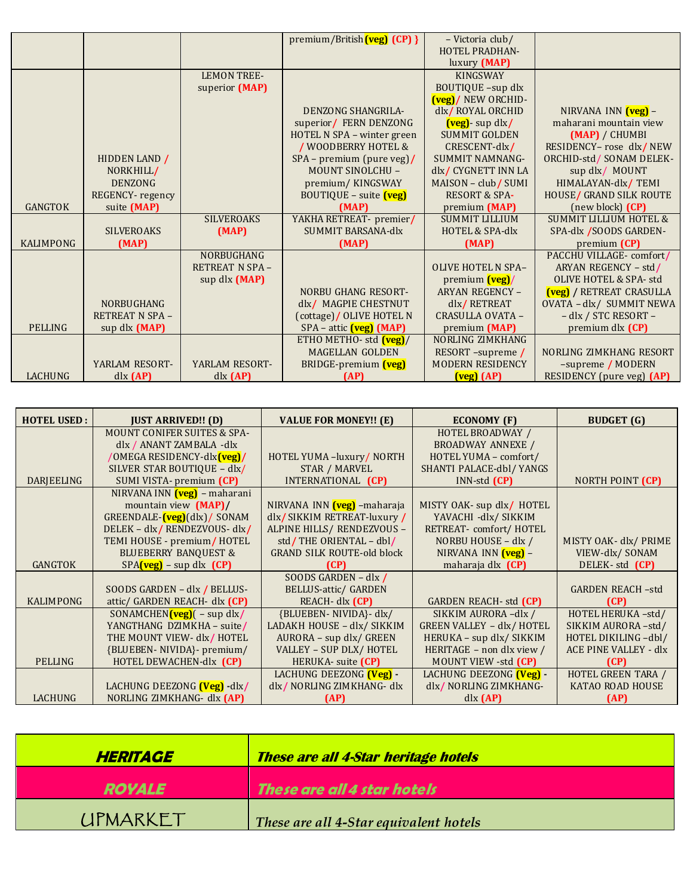|                  |                       |                        | premium/British(veg) (CP) }     | - Victoria club/                                |                                   |
|------------------|-----------------------|------------------------|---------------------------------|-------------------------------------------------|-----------------------------------|
|                  |                       |                        |                                 | <b>HOTEL PRADHAN-</b>                           |                                   |
|                  |                       |                        |                                 | luxury (MAP)                                    |                                   |
|                  |                       | <b>LEMON TREE-</b>     |                                 | <b>KINGSWAY</b>                                 |                                   |
|                  |                       | superior (MAP)         |                                 | BOUTIQUE -sup dlx                               |                                   |
|                  |                       |                        |                                 | (veg)/ NEW ORCHID-                              |                                   |
|                  |                       |                        | <b>DENZONG SHANGRILA-</b>       | dlx/ROYAL ORCHID                                | NIRVANA INN (veg) -               |
|                  |                       |                        | superior/ FERN DENZONG          | (veg) - sup dlx/                                | maharani mountain view            |
|                  |                       |                        | HOTEL N SPA - winter green      | <b>SUMMIT GOLDEN</b>                            | (MAP) / CHUMBI                    |
|                  |                       |                        | / WOODBERRY HOTEL &             | CRESCENT-dlx/                                   | RESIDENCY- rose dlx/NEW           |
|                  | HIDDEN LAND /         |                        | SPA - premium (pure veg)/       | <b>SUMMIT NAMNANG-</b>                          | ORCHID-std / SONAM DELEK-         |
|                  | NORKHILL/             |                        | <b>MOUNT SINOLCHU -</b>         | dlx/ CYGNETT INN LA                             | sup dlx/ MOUNT                    |
|                  | <b>DENZONG</b>        |                        | premium/KINGSWAY                | MAISON - club/ SUMI                             | HIMALAYAN-dlx/TEMI                |
|                  | REGENCY-regency       |                        | BOUTIQUE - suite (veg)          | <b>RESORT &amp; SPA-</b>                        | HOUSE/ GRAND SILK ROUTE           |
| <b>GANGTOK</b>   | suite (MAP)           |                        | (MAP)                           | premium (MAP)                                   | (new block) (CP)                  |
|                  |                       | <b>SILVEROAKS</b>      | YAKHA RETREAT- premier/         | <b>SUMMIT LILLIUM</b>                           | <b>SUMMIT LILLIUM HOTEL &amp;</b> |
|                  | <b>SILVEROAKS</b>     | (MAP)                  | <b>SUMMIT BARSANA-dlx</b>       | <b>HOTEL &amp; SPA-dlx</b>                      | SPA-dlx /SOODS GARDEN-            |
| <b>KALIMPONG</b> | (MAP)                 |                        | (MAP)                           | (MAP)                                           | premium (CP)                      |
|                  |                       | NORBUGHANG             |                                 |                                                 | PACCHU VILLAGE-comfort/           |
|                  |                       | <b>RETREAT N SPA -</b> |                                 | <b>OLIVE HOTEL N SPA-</b>                       | ARYAN REGENCY - std/              |
|                  |                       | sup dlx (MAP)          |                                 | premium <b>(veg)</b> /                          | <b>OLIVE HOTEL &amp; SPA- std</b> |
|                  |                       |                        | <b>NORBU GHANG RESORT-</b>      | <b>ARYAN REGENCY -</b>                          | (veg) / RETREAT CRASULLA          |
|                  | <b>NORBUGHANG</b>     |                        | dlx/ MAGPIE CHESTNUT            | dlx/RETREAT                                     | OVATA - dlx/ SUMMIT NEWA          |
|                  | <b>RETREAT N SPA-</b> |                        | (cottage)/ OLIVE HOTEL N        | CRASULLA OVATA -                                | - dlx / STC RESORT -              |
| <b>PELLING</b>   | sup dlx (MAP)         |                        | SPA – attic (veg) (MAP)         | premium (MAP)                                   | premium dlx (CP)                  |
|                  |                       |                        | ETHO METHO- std $(\text{veg})/$ | NORLING ZIMKHANG                                |                                   |
|                  |                       |                        | <b>MAGELLAN GOLDEN</b>          | RESORT-supreme /                                | NORLING ZIMKHANG RESORT           |
|                  | YARLAM RESORT-        | YARLAM RESORT-         | BRIDGE-premium (veg)            | <b>MODERN RESIDENCY</b>                         | -supreme / MODERN                 |
| <b>LACHUNG</b>   | dx (AP)               | dx (AP)                | (AP)                            | $\left(\text{veg}\right)\left(\text{AP}\right)$ | RESIDENCY (pure veg) (AP)         |

| <b>HOTEL USED:</b> | <b>JUST ARRIVED!! (D)</b>                | <b>VALUE FOR MONEY!!</b> (E)      | <b>ECONOMY</b> (F)                   | <b>BUDGET</b> (G)       |
|--------------------|------------------------------------------|-----------------------------------|--------------------------------------|-------------------------|
|                    | <b>MOUNT CONIFER SUITES &amp; SPA-</b>   |                                   | HOTEL BROADWAY /                     |                         |
|                    | dlx / ANANT ZAMBALA -dlx                 |                                   | <b>BROADWAY ANNEXE /</b>             |                         |
|                    | /OMEGA RESIDENCY-dlx <mark>(veg)/</mark> | HOTEL YUMA -luxury/ NORTH         | HOTEL YUMA - comfort/                |                         |
|                    | SILVER STAR BOUTIQUE - dlx/              | <b>STAR / MARVEL</b>              | SHANTI PALACE-dbl/ YANGS             |                         |
| DARJEELING         | SUMI VISTA- premium (CP)                 | INTERNATIONAL (CP)                | $INN$ -std $(CP)$                    | NORTH POINT (CP)        |
|                    | NIRVANA INN (veg) – maharani             |                                   |                                      |                         |
|                    | mountain view (MAP)/                     | NIRVANA INN (veg) - maharaja      | MISTY OAK- sup dlx/ HOTEL            |                         |
|                    | GREENDALE-(veg)(dlx)/ SONAM              | dlx/SIKKIM RETREAT-luxury/        | YAVACHI -dlx/ SIKKIM                 |                         |
|                    | DELEK - dlx/RENDEZVOUS- dlx/             | ALPINE HILLS/ RENDEZVOUS -        | RETREAT- comfort/HOTEL               |                         |
|                    | TEMI HOUSE - premium/HOTEL               | std/THE ORIENTAL - dbl/           | NORBU HOUSE - dlx /                  | MISTY OAK- dlx/ PRIME   |
|                    | <b>BLUEBERRY BANQUEST &amp;</b>          | <b>GRAND SILK ROUTE-old block</b> | NIRVANA INN (veg) -                  | VIEW-dlx/SONAM          |
| <b>GANGTOK</b>     | $SPA$ (veg) – sup dlx (CP)               | (CP)                              | maharaja dlx (CP)                    | DELEK-std (CP)          |
|                    |                                          | SOODS GARDEN - dlx /              |                                      |                         |
|                    | SOODS GARDEN - dlx / BELLUS-             | <b>BELLUS-attic/ GARDEN</b>       |                                      | <b>GARDEN REACH-std</b> |
| <b>KALIMPONG</b>   | attic/ GARDEN REACH- dlx (CP)            | REACH- dlx (CP)                   | <b>GARDEN REACH- std (CP)</b>        | (CP)                    |
|                    | SONAMCHEN $(\text{veg})$ $(-$ sup dlx/   | {BLUEBEN- NIVIDA}- dlx/           | SIKKIM AURORA-dlx /                  | HOTEL HERUKA-std/       |
|                    | YANGTHANG DZIMKHA - suite/               | LADAKH HOUSE - dlx/ SIKKIM        | <b>GREEN VALLEY - dlx/ HOTEL</b>     | SIKKIM AURORA-std/      |
|                    | THE MOUNT VIEW- dlx/HOTEL                | AURORA - sup dlx/ GREEN           | HERUKA - sup dlx/ SIKKIM             | HOTEL DIKILING-dbl/     |
|                    | {BLUEBEN- NIVIDA}- premium/              | VALLEY - SUP DLX/ HOTEL           | HERITAGE - non dlx view /            | ACE PINE VALLEY - dlx   |
| <b>PELLING</b>     | HOTEL DEWACHEN-dlx (CP)                  | HERUKA- suite (CP)                | MOUNT VIEW -std (CP)                 | (CP)                    |
|                    |                                          | LACHUNG DEEZONG (Veg) -           | LACHUNG DEEZONG <mark>(Veg)</mark> - | HOTEL GREEN TARA /      |
|                    | LACHUNG DEEZONG <b>(Veg)</b> -dlx/       | dlx/NORLING ZIMKHANG-dlx          | dlx/NORLING ZIMKHANG-                | KATAO ROAD HOUSE        |
| <b>LACHUNG</b>     | NORLING ZIMKHANG- dlx (AP)               | (AP)                              | dx (AP)                              | (AP)                    |

| <b>HERITAGE</b> | <b>These are all 4-Star heritage hotels</b> |
|-----------------|---------------------------------------------|
| <b>ROYALE</b>   | These are all 4 star hotels                 |
| <b>UPMARKET</b> | These are all 4-Star equivalent hotels      |